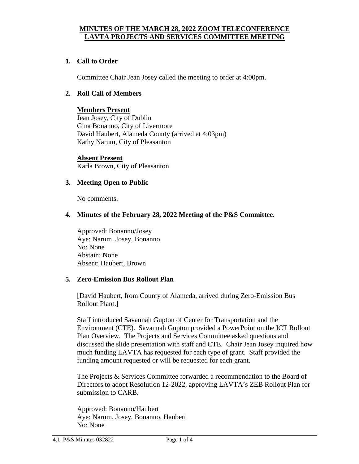#### **MINUTES OF THE MARCH 28, 2022 ZOOM TELECONFERENCE LAVTA PROJECTS AND SERVICES COMMITTEE MEETING**

# **1. Call to Order**

Committee Chair Jean Josey called the meeting to order at 4:00pm.

#### **2. Roll Call of Members**

#### **Members Present** Jean Josey, City of Dublin Gina Bonanno, City of Livermore David Haubert, Alameda County (arrived at 4:03pm) Kathy Narum, City of Pleasanton

**Absent Present** Karla Brown, City of Pleasanton

#### **3. Meeting Open to Public**

No comments.

#### **4. Minutes of the February 28, 2022 Meeting of the P&S Committee.**

Approved: Bonanno/Josey Aye: Narum, Josey, Bonanno No: None Abstain: None Absent: Haubert, Brown

#### **5. Zero-Emission Bus Rollout Plan**

[David Haubert, from County of Alameda, arrived during Zero-Emission Bus Rollout Plant.]

Staff introduced Savannah Gupton of Center for Transportation and the Environment (CTE). Savannah Gupton provided a PowerPoint on the ICT Rollout Plan Overview. The Projects and Services Committee asked questions and discussed the slide presentation with staff and CTE. Chair Jean Josey inquired how much funding LAVTA has requested for each type of grant. Staff provided the funding amount requested or will be requested for each grant.

The Projects & Services Committee forwarded a recommendation to the Board of Directors to adopt Resolution 12-2022, approving LAVTA's ZEB Rollout Plan for submission to CARB.

Approved: Bonanno/Haubert Aye: Narum, Josey, Bonanno, Haubert No: None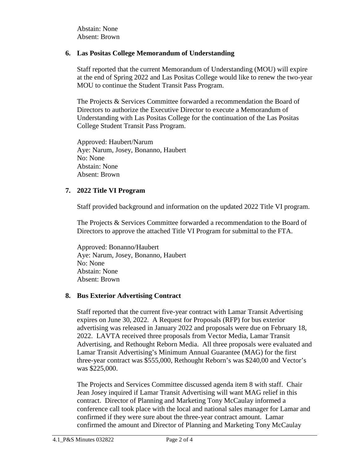Abstain: None Absent: Brown

# **6. Las Positas College Memorandum of Understanding**

Staff reported that the current Memorandum of Understanding (MOU) will expire at the end of Spring 2022 and Las Positas College would like to renew the two-year MOU to continue the Student Transit Pass Program.

The Projects & Services Committee forwarded a recommendation the Board of Directors to authorize the Executive Director to execute a Memorandum of Understanding with Las Positas College for the continuation of the Las Positas College Student Transit Pass Program.

Approved: Haubert/Narum Aye: Narum, Josey, Bonanno, Haubert No: None Abstain: None Absent: Brown

# **7. 2022 Title VI Program**

Staff provided background and information on the updated 2022 Title VI program.

The Projects & Services Committee forwarded a recommendation to the Board of Directors to approve the attached Title VI Program for submittal to the FTA.

Approved: Bonanno/Haubert Aye: Narum, Josey, Bonanno, Haubert No: None Abstain: None Absent: Brown

# **8. Bus Exterior Advertising Contract**

Staff reported that the current five-year contract with Lamar Transit Advertising expires on June 30, 2022. A Request for Proposals (RFP) for bus exterior advertising was released in January 2022 and proposals were due on February 18, 2022. LAVTA received three proposals from Vector Media, Lamar Transit Advertising, and Rethought Reborn Media. All three proposals were evaluated and Lamar Transit Advertising's Minimum Annual Guarantee (MAG) for the first three-year contract was \$555,000, Rethought Reborn's was \$240,00 and Vector's was \$225,000.

The Projects and Services Committee discussed agenda item 8 with staff. Chair Jean Josey inquired if Lamar Transit Advertising will want MAG relief in this contract. Director of Planning and Marketing Tony McCaulay informed a conference call took place with the local and national sales manager for Lamar and confirmed if they were sure about the three-year contract amount. Lamar confirmed the amount and Director of Planning and Marketing Tony McCaulay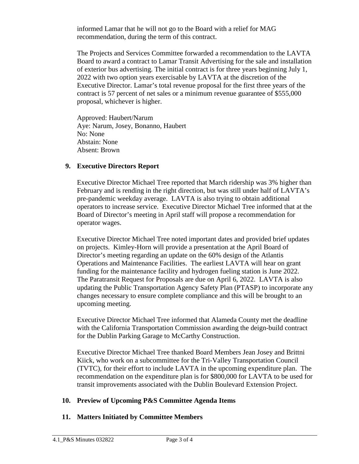informed Lamar that he will not go to the Board with a relief for MAG recommendation, during the term of this contract.

The Projects and Services Committee forwarded a recommendation to the LAVTA Board to award a contract to Lamar Transit Advertising for the sale and installation of exterior bus advertising. The initial contract is for three years beginning July 1, 2022 with two option years exercisable by LAVTA at the discretion of the Executive Director. Lamar's total revenue proposal for the first three years of the contract is 57 percent of net sales or a minimum revenue guarantee of \$555,000 proposal, whichever is higher.

Approved: Haubert/Narum Aye: Narum, Josey, Bonanno, Haubert No: None Abstain: None Absent: Brown

# **9. Executive Directors Report**

Executive Director Michael Tree reported that March ridership was 3% higher than February and is rending in the right direction, but was still under half of LAVTA's pre-pandemic weekday average. LAVTA is also trying to obtain additional operators to increase service. Executive Director Michael Tree informed that at the Board of Director's meeting in April staff will propose a recommendation for operator wages.

Executive Director Michael Tree noted important dates and provided brief updates on projects. Kimley-Horn will provide a presentation at the April Board of Director's meeting regarding an update on the 60% design of the Atlantis Operations and Maintenance Facilities. The earliest LAVTA will hear on grant funding for the maintenance facility and hydrogen fueling station is June 2022. The Paratransit Request for Proposals are due on April 6, 2022. LAVTA is also updating the Public Transportation Agency Safety Plan (PTASP) to incorporate any changes necessary to ensure complete compliance and this will be brought to an upcoming meeting.

Executive Director Michael Tree informed that Alameda County met the deadline with the California Transportation Commission awarding the deign-build contract for the Dublin Parking Garage to McCarthy Construction.

Executive Director Michael Tree thanked Board Members Jean Josey and Brittni Kiick, who work on a subcommittee for the Tri-Valley Transportation Council (TVTC), for their effort to include LAVTA in the upcoming expenditure plan. The recommendation on the expenditure plan is for \$800,000 for LAVTA to be used for transit improvements associated with the Dublin Boulevard Extension Project.

# **10. Preview of Upcoming P&S Committee Agenda Items**

# **11. Matters Initiated by Committee Members**